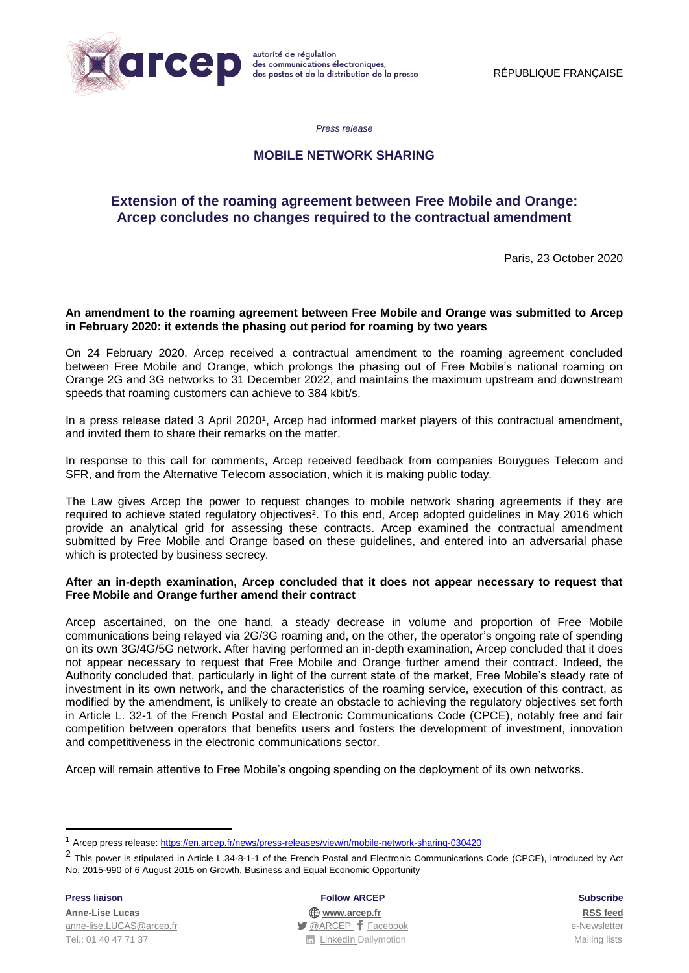

*Press release*

## **MOBILE NETWORK SHARING**

# **Extension of the roaming agreement between Free Mobile and Orange: Arcep concludes no changes required to the contractual amendment**

Paris, 23 October 2020

### **An amendment to the roaming agreement between Free Mobile and Orange was submitted to Arcep in February 2020: it extends the phasing out period for roaming by two years**

On 24 February 2020, Arcep received a contractual amendment to the roaming agreement concluded between Free Mobile and Orange, which prolongs the phasing out of Free Mobile's national roaming on Orange 2G and 3G networks to 31 December 2022, and maintains the maximum upstream and downstream speeds that roaming customers can achieve to 384 kbit/s.

In a press release dated 3 April 2020<sup>1</sup> , Arcep had informed market players of this contractual amendment, and invited them to share their remarks on the matter.

In response to this call for comments, Arcep received feedback from companies Bouygues Telecom and SFR, and from the Alternative Telecom association, which it is making public today.

The Law gives Arcep the power to request changes to mobile network sharing agreements if they are required to achieve stated regulatory objectives<sup>2</sup>. To this end, Arcep adopted guidelines in May 2016 which provide an analytical grid for assessing these contracts. Arcep examined the contractual amendment submitted by Free Mobile and Orange based on these guidelines, and entered into an adversarial phase which is protected by business secrecy.

#### **After an in-depth examination, Arcep concluded that it does not appear necessary to request that Free Mobile and Orange further amend their contract**

Arcep ascertained, on the one hand, a steady decrease in volume and proportion of Free Mobile communications being relayed via 2G/3G roaming and, on the other, the operator's ongoing rate of spending on its own 3G/4G/5G network. After having performed an in-depth examination, Arcep concluded that it does not appear necessary to request that Free Mobile and Orange further amend their contract. Indeed, the Authority concluded that, particularly in light of the current state of the market, Free Mobile's steady rate of investment in its own network, and the characteristics of the roaming service, execution of this contract, as modified by the amendment, is unlikely to create an obstacle to achieving the regulatory objectives set forth in Article L. 32-1 of the French Postal and Electronic Communications Code (CPCE), notably free and fair competition between operators that benefits users and fosters the development of investment, innovation and competitiveness in the electronic communications sector.

Arcep will remain attentive to Free Mobile's ongoing spending on the deployment of its own networks.

**.** 

**Press liaison Follow ARCEP Subscribe Anne-Lise Lucas [www.arcep.fr](http://www.arcep.fr/) [RSS](/feed/::www.arcep.fr:?eID=tx_rssforge&feedid=2&h=14df1) feed** [anne-lise.LUCAS@arcep.fr](mailto:anne-lise.LUCAS@arcep.fr) **[@ARCEP](http://www.twitter.com/ARCEP) F** [Facebook](https://www.facebook.com/arcep.fr) e-Newsletter Tel.: 01 40 47 71 37 Mailing lists **Tel.: 01 40 47 71 37** Mailing lists

<sup>&</sup>lt;sup>1</sup> Arcep press release: <https://en.arcep.fr/news/press-releases/view/n/mobile-network-sharing-030420>

<sup>&</sup>lt;sup>2</sup> This power is stipulated in Article L.34-8-1-1 of the French Postal and Electronic Communications Code (CPCE), introduced by Act No. 2015-990 of 6 August 2015 on Growth, Business and Equal Economic Opportunity